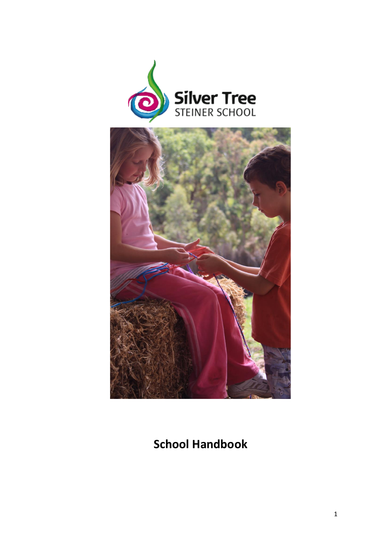



# **School Handbook**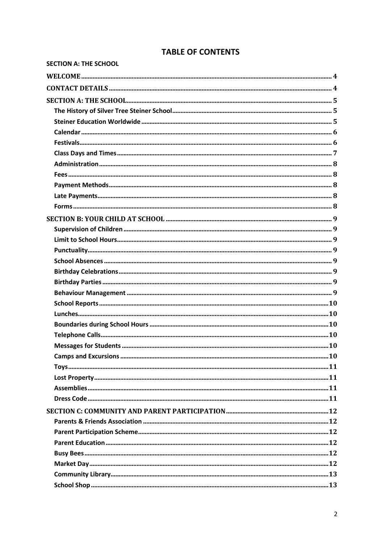# **TABLE OF CONTENTS**

| <b>SECTION A: THE SCHOOL</b> |  |
|------------------------------|--|
|                              |  |
|                              |  |
|                              |  |
|                              |  |
|                              |  |
|                              |  |
|                              |  |
|                              |  |
|                              |  |
|                              |  |
|                              |  |
|                              |  |
|                              |  |
|                              |  |
|                              |  |
|                              |  |
|                              |  |
|                              |  |
|                              |  |
|                              |  |
|                              |  |
|                              |  |
|                              |  |
|                              |  |
|                              |  |
|                              |  |
|                              |  |
|                              |  |
|                              |  |
|                              |  |
|                              |  |
|                              |  |
|                              |  |
|                              |  |
|                              |  |
|                              |  |
|                              |  |
|                              |  |
|                              |  |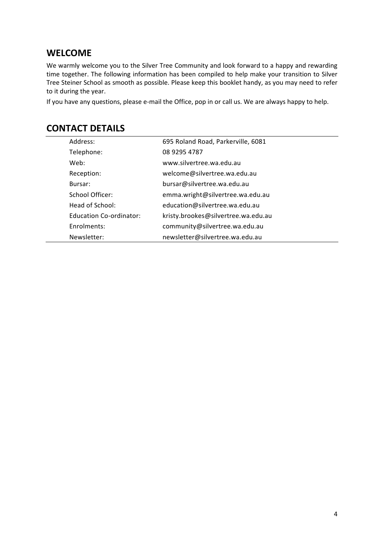# <span id="page-3-0"></span>**WELCOME**

We warmly welcome you to the Silver Tree Community and look forward to a happy and rewarding time together. The following information has been compiled to help make your transition to Silver Tree Steiner School as smooth as possible. Please keep this booklet handy, as you may need to refer to it during the year.

<span id="page-3-1"></span>If you have any questions, please e-mail the Office, pop in or call us. We are always happy to help.

| Address:                       | 695 Roland Road, Parkerville, 6081  |
|--------------------------------|-------------------------------------|
| Telephone:                     | 08 9295 4787                        |
| Web:                           | www.silvertree.wa.edu.au            |
| Reception:                     | welcome@silvertree.wa.edu.au        |
| Bursar:                        | bursar@silvertree.wa.edu.au         |
| School Officer:                | emma.wright@silvertree.wa.edu.au    |
| Head of School:                | education@silvertree.wa.edu.au      |
| <b>Education Co-ordinator:</b> | kristy.brookes@silvertree.wa.edu.au |
| Enrolments:                    | community@silvertree.wa.edu.au      |
| Newsletter:                    | newsletter@silvertree.wa.edu.au     |

# **CONTACT DETAILS**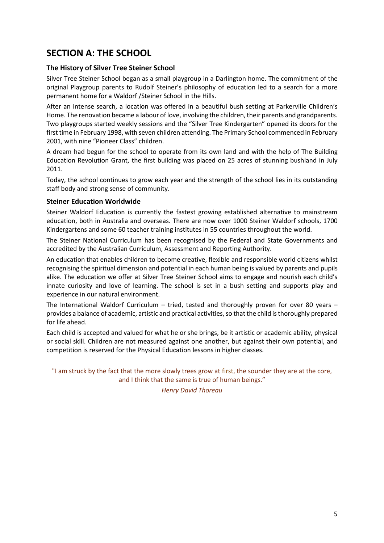# <span id="page-4-0"></span>**SECTION A: THE SCHOOL**

### <span id="page-4-1"></span>**The History of Silver Tree Steiner School**

Silver Tree Steiner School began as a small playgroup in a Darlington home. The commitment of the original Playgroup parents to Rudolf Steiner's philosophy of education led to a search for a more permanent home for a Waldorf /Steiner School in the Hills.

After an intense search, a location was offered in a beautiful bush setting at Parkerville Children's Home. The renovation became a labour of love, involving the children, their parents and grandparents. Two playgroups started weekly sessions and the "Silver Tree Kindergarten" opened its doors for the first time in February 1998, with seven children attending. The Primary School commenced in February 2001, with nine "Pioneer Class" children.

A dream had begun for the school to operate from its own land and with the help of The Building Education Revolution Grant, the first building was placed on 25 acres of stunning bushland in July 2011.

Today, the school continues to grow each year and the strength of the school lies in its outstanding staff body and strong sense of community.

### <span id="page-4-2"></span>**Steiner Education Worldwide**

Steiner Waldorf Education is currently the fastest growing established alternative to mainstream education, both in Australia and overseas. There are now over 1000 Steiner Waldorf schools, 1700 Kindergartens and some 60 teacher training institutes in 55 countries throughout the world.

The Steiner National Curriculum has been recognised by the Federal and State Governments and accredited by the Australian Curriculum, Assessment and Reporting Authority.

An education that enables children to become creative, flexible and responsible world citizens whilst recognising the spiritual dimension and potential in each human being is valued by parents and pupils alike. The education we offer at Silver Tree Steiner School aims to engage and nourish each child's innate curiosity and love of learning. The school is set in a bush setting and supports play and experience in our natural environment.

The International Waldorf Curriculum – tried, tested and thoroughly proven for over 80 years – provides a balance of academic, artistic and practical activities, so that the child is thoroughly prepared for life ahead.

Each child is accepted and valued for what he or she brings, be it artistic or academic ability, physical or social skill. Children are not measured against one another, but against their own potential, and competition is reserved for the Physical Education lessons in higher classes.

"I am struck by the fact that the more slowly trees grow at first, the sounder they are at the core, and I think that the same is true of human beings."

*Henry David Thoreau*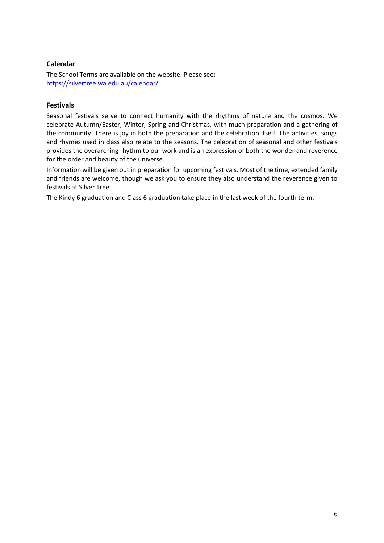# <span id="page-5-0"></span>**Calendar**

The School Terms are available on the website. Please see: <https://silvertree.wa.edu.au/calendar/>

### <span id="page-5-1"></span>**Festivals**

Seasonal festivals serve to connect humanity with the rhythms of nature and the cosmos. We celebrate Autumn/Easter, Winter, Spring and Christmas, with much preparation and a gathering of the community. There is joy in both the preparation and the celebration itself. The activities, songs and rhymes used in class also relate to the seasons. The celebration of seasonal and other festivals provides the overarching rhythm to our work and is an expression of both the wonder and reverence for the order and beauty of the universe.

Information will be given out in preparation for upcoming festivals. Most of the time, extended family and friends are welcome, though we ask you to ensure they also understand the reverence given to festivals at Silver Tree.

The Kindy 6 graduation and Class 6 graduation take place in the last week of the fourth term.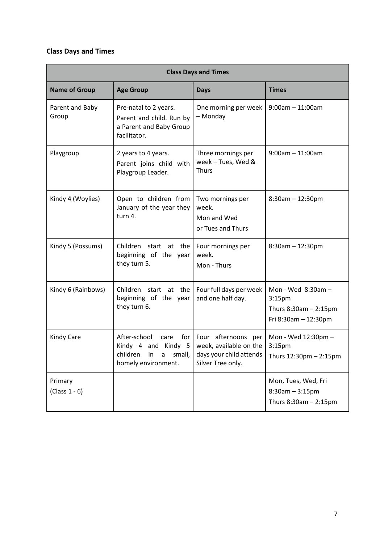# <span id="page-6-0"></span>**Class Days and Times**

| <b>Class Days and Times</b> |                                                                                                  |                                                                                                   |                                                                                               |
|-----------------------------|--------------------------------------------------------------------------------------------------|---------------------------------------------------------------------------------------------------|-----------------------------------------------------------------------------------------------|
| <b>Name of Group</b>        | <b>Age Group</b>                                                                                 | <b>Days</b>                                                                                       | <b>Times</b>                                                                                  |
| Parent and Baby<br>Group    | Pre-natal to 2 years.<br>Parent and child. Run by<br>a Parent and Baby Group<br>facilitator.     | One morning per week<br>- Monday                                                                  | $9:00am - 11:00am$                                                                            |
| Playgroup                   | 2 years to 4 years.<br>Parent joins child with<br>Playgroup Leader.                              | Three mornings per<br>week - Tues, Wed &<br><b>Thurs</b>                                          | $9:00am - 11:00am$                                                                            |
| Kindy 4 (Woylies)           | Open to children from<br>January of the year they<br>turn 4.                                     | Two mornings per<br>week.<br>Mon and Wed<br>or Tues and Thurs                                     | $8:30am - 12:30pm$                                                                            |
| Kindy 5 (Possums)           | Children start at the<br>beginning of the year<br>they turn 5.                                   | Four mornings per<br>week.<br>Mon - Thurs                                                         | $8:30$ am $- 12:30$ pm                                                                        |
| Kindy 6 (Rainbows)          | Children<br>start at the<br>beginning of the year<br>they turn 6.                                | Four full days per week<br>and one half day.                                                      | Mon - Wed $8:30am -$<br>3:15 <sub>pm</sub><br>Thurs $8:30am - 2:15pm$<br>Fri 8:30am - 12:30pm |
| <b>Kindy Care</b>           | After-school<br>care<br>Kindy 4 and Kindy 5<br>children<br>small,<br>in a<br>homely environment. | for Four afternoons per<br>week, available on the<br>days your child attends<br>Silver Tree only. | Mon - Wed 12:30pm -<br>3:15 <sub>pm</sub><br>Thurs 12:30pm - 2:15pm                           |
| Primary<br>$(Class 1 - 6)$  |                                                                                                  |                                                                                                   | Mon, Tues, Wed, Fri<br>$8:30$ am $-3:15$ pm<br>Thurs $8:30$ am $-2:15$ pm                     |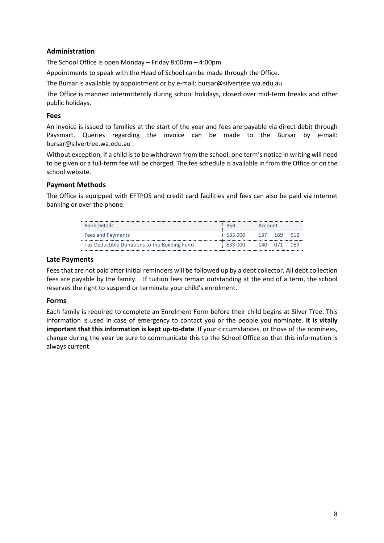# <span id="page-7-0"></span>**Administration**

The School Office is open Monday – Friday 8:00am – 4:00pm.

Appointments to speak with the Head of School can be made through the Office.

The Bursar is available by appointment or by e-mail: [bursar@silvertree.wa.edu.au](mailto:bursar@silvertree.wa.edu.au)

The Office is manned intermittently during school holidays, closed over mid-term breaks and other public holidays.

### <span id="page-7-1"></span>**Fees**

An invoice is issued to families at the start of the year and fees are payable via direct debit through Paysmart. Queries regarding the invoice can be made to the Bursar by e-mail: [bursar@silvertree.wa.edu.au](mailto:bursar@silvertree.wa.edu.au) .

Without exception, if a child is to be withdrawn from the school, one term's notice in writing will need to be given or a full-term fee will be charged. The fee schedule is available in from the Office or on the school website.

### <span id="page-7-2"></span>**Payment Methods**

The Office is equipped with EFTPOS and credit card facilities and fees can also be paid via internet banking or over the phone.

| : Bank Details                                | <b>RSB</b>                 | : Account |             |
|-----------------------------------------------|----------------------------|-----------|-------------|
| Fees and Payments                             | $633000$ $137$ $169$ $512$ |           |             |
| Tax Deductible Donations to the Building Fund | 633000                     |           | 140 071 069 |

### <span id="page-7-3"></span>**Late Payments**

Fees that are not paid after initial reminders will be followed up by a debt collector. All debt collection fees are payable by the family. If tuition fees remain outstanding at the end of a term, the school reserves the right to suspend or terminate your child's enrolment.

### <span id="page-7-4"></span>**Forms**

Each family is required to complete an Enrolment Form before their child begins at Silver Tree. This information is used in case of emergency to contact you or the people you nominate. **It is vitally important that this information is kept up-to-date**. If your circumstances, or those of the nominees, change during the year be sure to communicate this to the School Office so that this information is always current.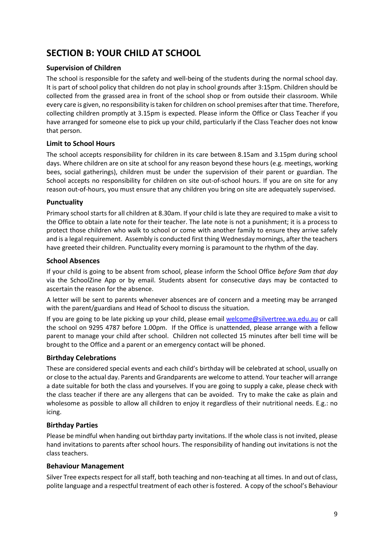# <span id="page-8-0"></span>**SECTION B: YOUR CHILD AT SCHOOL**

### <span id="page-8-1"></span>**Supervision of Children**

The school is responsible for the safety and well-being of the students during the normal school day. It is part of school policy that children do not play in school grounds after 3:15pm. Children should be collected from the grassed area in front of the school shop or from outside their classroom. While every care is given, no responsibility is taken for children on school premises after that time. Therefore, collecting children promptly at 3.15pm is expected. Please inform the Office or Class Teacher if you have arranged for someone else to pick up your child, particularly if the Class Teacher does not know that person.

# <span id="page-8-2"></span>**Limit to School Hours**

The school accepts responsibility for children in its care between 8.15am and 3.15pm during school days. Where children are on site at school for any reason beyond these hours (e.g. meetings, working bees, social gatherings), children must be under the supervision of their parent or guardian. The School accepts no responsibility for children on site out-of-school hours. If you are on site for any reason out-of-hours, you must ensure that any children you bring on site are adequately supervised.

### <span id="page-8-3"></span>**Punctuality**

Primary school starts for all children at 8.30am. If your child is late they are required to make a visit to the Office to obtain a late note for their teacher. The late note is not a punishment; it is a process to protect those children who walk to school or come with another family to ensure they arrive safely and is a legal requirement. Assembly is conducted first thing Wednesday mornings, after the teachers have greeted their children. Punctuality every morning is paramount to the rhythm of the day.

### <span id="page-8-4"></span>**School Absences**

If your child is going to be absent from school, please inform the School Office *before 9am that day* via the SchoolZine App or by email. Students absent for consecutive days may be contacted to ascertain the reason for the absence.

A letter will be sent to parents whenever absences are of concern and a meeting may be arranged with the parent/guardians and Head of School to discuss the situation.

If you are going to be late picking up your child, please email [welcome@silvertree.wa.edu.au](mailto:welcome@silvertree.wa.edu.au) or call the school on 9295 4787 before 1.00pm. If the Office is unattended, please arrange with a fellow parent to manage your child after school. Children not collected 15 minutes after bell time will be brought to the Office and a parent or an emergency contact will be phoned.

### <span id="page-8-5"></span>**Birthday Celebrations**

These are considered special events and each child's birthday will be celebrated at school, usually on or close to the actual day. Parents and Grandparents are welcome to attend. Your teacher will arrange a date suitable for both the class and yourselves. If you are going to supply a cake, please check with the class teacher if there are any allergens that can be avoided. Try to make the cake as plain and wholesome as possible to allow all children to enjoy it regardless of their nutritional needs. E.g.: no icing.

### <span id="page-8-6"></span>**Birthday Parties**

Please be mindful when handing out birthday party invitations. If the whole class is not invited, please hand invitations to parents after school hours. The responsibility of handing out invitations is not the class teachers.

### <span id="page-8-7"></span>**Behaviour Management**

Silver Tree expects respect for all staff, both teaching and non-teaching at all times. In and out of class, polite language and a respectful treatment of each other is fostered. A copy of the school's Behaviour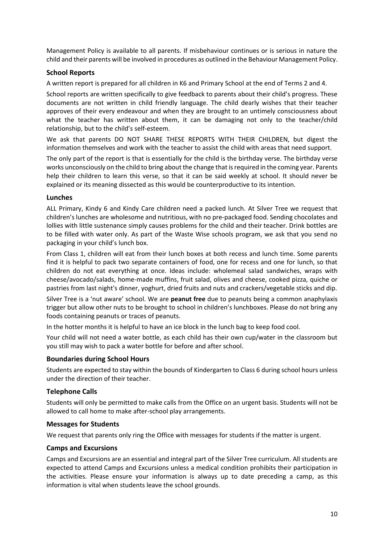Management Policy is available to all parents. If misbehaviour continues or is serious in nature the child and their parents will be involved in procedures as outlined in the Behaviour Management Policy.

### <span id="page-9-0"></span>**School Reports**

A written report is prepared for all children in K6 and Primary School at the end of Terms 2 and 4.

School reports are written specifically to give feedback to parents about their child's progress. These documents are not written in child friendly language. The child dearly wishes that their teacher approves of their every endeavour and when they are brought to an untimely consciousness about what the teacher has written about them, it can be damaging not only to the teacher/child relationship, but to the child's self-esteem.

We ask that parents DO NOT SHARE THESE REPORTS WITH THEIR CHILDREN, but digest the information themselves and work with the teacher to assist the child with areas that need support.

The only part of the report is that is essentially for the child is the birthday verse. The birthday verse works unconsciously on the child to bring about the change that is required in the coming year. Parents help their children to learn this verse, so that it can be said weekly at school. It should never be explained or its meaning dissected as this would be counterproductive to its intention.

### <span id="page-9-1"></span>**Lunches**

ALL Primary, Kindy 6 and Kindy Care children need a packed lunch. At Silver Tree we request that children's lunches are wholesome and nutritious, with no pre-packaged food. Sending chocolates and lollies with little sustenance simply causes problems for the child and their teacher. Drink bottles are to be filled with water only. As part of the Waste Wise schools program, we ask that you send no packaging in your child's lunch box.

From Class 1, children will eat from their lunch boxes at both recess and lunch time. Some parents find it is helpful to pack two separate containers of food, one for recess and one for lunch, so that children do not eat everything at once. Ideas include: wholemeal salad sandwiches, wraps with cheese/avocado/salads, home-made muffins, fruit salad, olives and cheese, cooked pizza, quiche or pastries from last night's dinner, yoghurt, dried fruits and nuts and crackers/vegetable sticks and dip.

Silver Tree is a 'nut aware' school. We are **peanut free** due to peanuts being a common anaphylaxis trigger but allow other nuts to be brought to school in children's lunchboxes. Please do not bring any foods containing peanuts or traces of peanuts.

In the hotter months it is helpful to have an ice block in the lunch bag to keep food cool.

Your child will not need a water bottle, as each child has their own cup/water in the classroom but you still may wish to pack a water bottle for before and after school.

### <span id="page-9-2"></span>**Boundaries during School Hours**

Students are expected to stay within the bounds of Kindergarten to Class 6 during school hours unless under the direction of their teacher.

### <span id="page-9-3"></span>**Telephone Calls**

Students will only be permitted to make calls from the Office on an urgent basis. Students will not be allowed to call home to make after-school play arrangements.

### <span id="page-9-4"></span>**Messages for Students**

We request that parents only ring the Office with messages for students if the matter is urgent.

### <span id="page-9-5"></span>**Camps and Excursions**

Camps and Excursions are an essential and integral part of the Silver Tree curriculum. All students are expected to attend Camps and Excursions unless a medical condition prohibits their participation in the activities. Please ensure your information is always up to date preceding a camp, as this information is vital when students leave the school grounds.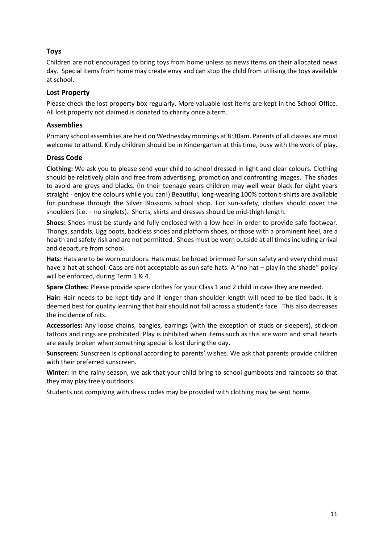# <span id="page-10-0"></span>**Toys**

Children are not encouraged to bring toys from home unless as news items on their allocated news day. Special items from home may create envy and can stop the child from utilising the toys available at school.

### <span id="page-10-1"></span>**Lost Property**

Please check the lost property box regularly. More valuable lost items are kept in the School Office. All lost property not claimed is donated to charity once a term.

### <span id="page-10-2"></span>**Assemblies**

Primary school assemblies are held on Wednesday mornings at 8:30am. Parents of all classes are most welcome to attend. Kindy children should be in Kindergarten at this time, busy with the work of play.

# <span id="page-10-3"></span>**Dress Code**

**Clothing:** We ask you to please send your child to school dressed in light and clear colours. Clothing should be relatively plain and free from advertising, promotion and confronting images. The shades to avoid are greys and blacks. (In their teenage years children may well wear black for eight years straight - enjoy the colours while you can!) Beautiful, long-wearing 100% cotton t-shirts are available for purchase through the Silver Blossoms school shop. For sun-safety, clothes should cover the shoulders (i.e. – no singlets). Shorts, skirts and dresses should be mid-thigh length.

**Shoes:** Shoes must be sturdy and fully enclosed with a low-heel in order to provide safe footwear. Thongs, sandals, Ugg boots, backless shoes and platform shoes, or those with a prominent heel, are a health and safety risk and are not permitted. Shoes must be worn outside at all times including arrival and departure from school.

**Hats:** Hats are to be worn outdoors. Hats must be broad brimmed for sun safety and every child must have a hat at school. Caps are not acceptable as sun safe hats. A "no hat – play in the shade" policy will be enforced, during Term 1 & 4.

**Spare Clothes:** Please provide spare clothes for your Class 1 and 2 child in case they are needed.

**Hair:** Hair needs to be kept tidy and if longer than shoulder length will need to be tied back. It is deemed best for quality learning that hair should not fall across a student's face. This also decreases the incidence of nits.

**Accessories:** Any loose chains, bangles, earrings (with the exception of studs or sleepers), stick-on tattoos and rings are prohibited. Play is inhibited when items such as this are worn and small hearts are easily broken when something special is lost during the day.

**Sunscreen:** Sunscreen is optional according to parents' wishes. We ask that parents provide children with their preferred sunscreen.

**Winter:** In the rainy season, we ask that your child bring to school gumboots and raincoats so that they may play freely outdoors.

Students not complying with dress codes may be provided with clothing may be sent home.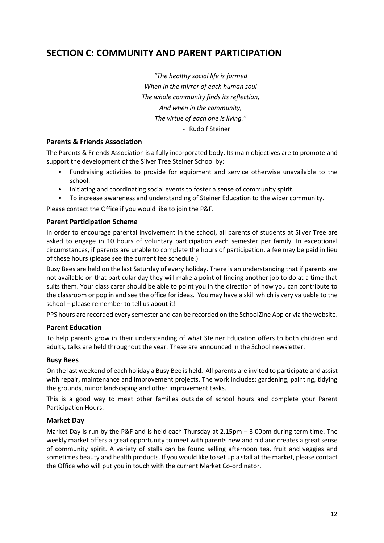# <span id="page-11-0"></span>**SECTION C: COMMUNITY AND PARENT PARTICIPATION**

*"The healthy social life is formed When in the mirror of each human soul The whole community finds its reflection, And when in the community, The virtue of each one is living."* - Rudolf Steiner

### <span id="page-11-1"></span>**Parents & Friends Association**

The Parents & Friends Association is a fully incorporated body. Its main objectives are to promote and support the development of the Silver Tree Steiner School by:

- Fundraising activities to provide for equipment and service otherwise unavailable to the school.
- Initiating and coordinating social events to foster a sense of community spirit.
- To increase awareness and understanding of Steiner Education to the wider community.

Please contact the Office if you would like to join the P&F.

### <span id="page-11-2"></span>**Parent Participation Scheme**

In order to encourage parental involvement in the school, all parents of students at Silver Tree are asked to engage in 10 hours of voluntary participation each semester per family. In exceptional circumstances, if parents are unable to complete the hours of participation, a fee may be paid in lieu of these hours (please see the current fee schedule.)

Busy Bees are held on the last Saturday of every holiday. There is an understanding that if parents are not available on that particular day they will make a point of finding another job to do at a time that suits them. Your class carer should be able to point you in the direction of how you can contribute to the classroom or pop in and see the office for ideas. You may have a skill which is very valuable to the school – please remember to tell us about it!

PPS hours are recorded every semester and can be recorded on the SchoolZine App or via the website.

### <span id="page-11-3"></span>**Parent Education**

To help parents grow in their understanding of what Steiner Education offers to both children and adults, talks are held throughout the year. These are announced in the School newsletter.

### <span id="page-11-4"></span>**Busy Bees**

On the last weekend of each holiday a Busy Bee is held. All parents are invited to participate and assist with repair, maintenance and improvement projects. The work includes: gardening, painting, tidying the grounds, minor landscaping and other improvement tasks.

This is a good way to meet other families outside of school hours and complete your Parent Participation Hours.

### <span id="page-11-5"></span>**Market Day**

Market Day is run by the P&F and is held each Thursday at 2.15pm – 3.00pm during term time. The weekly market offers a great opportunity to meet with parents new and old and creates a great sense of community spirit. A variety of stalls can be found selling afternoon tea, fruit and veggies and sometimes beauty and health products. If you would like to set up a stall at the market, please contact the Office who will put you in touch with the current Market Co-ordinator.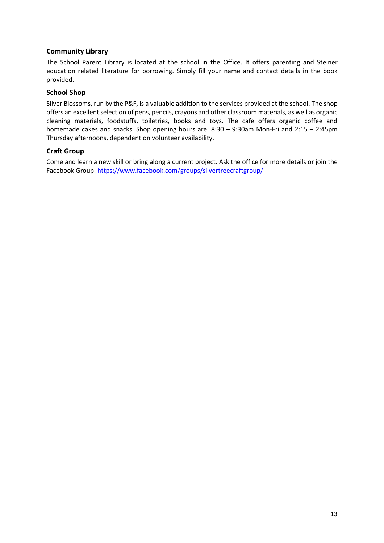# <span id="page-12-0"></span>**Community Library**

The School Parent Library is located at the school in the Office. It offers parenting and Steiner education related literature for borrowing. Simply fill your name and contact details in the book provided.

### <span id="page-12-1"></span>**School Shop**

Silver Blossoms, run by the P&F, is a valuable addition to the services provided at the school. The shop offers an excellent selection of pens, pencils, crayons and other classroom materials, as well as organic cleaning materials, foodstuffs, toiletries, books and toys. The cafe offers organic coffee and homemade cakes and snacks. Shop opening hours are: 8:30 – 9:30am Mon-Fri and 2:15 – 2:45pm Thursday afternoons, dependent on volunteer availability.

# **Craft Group**

Come and learn a new skill or bring along a current project. Ask the office for more details or join the Facebook Group:<https://www.facebook.com/groups/silvertreecraftgroup/>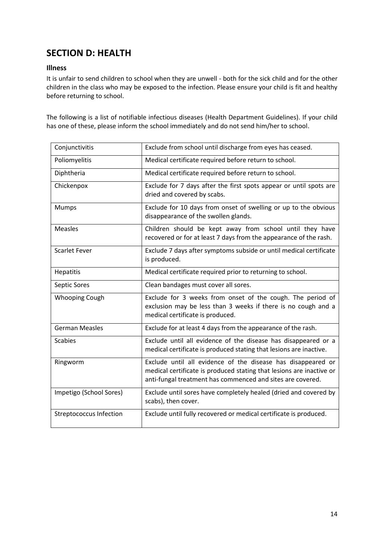# <span id="page-13-0"></span>**SECTION D: HEALTH**

### <span id="page-13-1"></span>**Illness**

It is unfair to send children to school when they are unwell - both for the sick child and for the other children in the class who may be exposed to the infection. Please ensure your child is fit and healthy before returning to school.

The following is a list of notifiable infectious diseases (Health Department Guidelines). If your child has one of these, please inform the school immediately and do not send him/her to school.

| Conjunctivitis                 | Exclude from school until discharge from eyes has ceased.                                                                                                                                          |
|--------------------------------|----------------------------------------------------------------------------------------------------------------------------------------------------------------------------------------------------|
| Poliomyelitis                  | Medical certificate required before return to school.                                                                                                                                              |
| Diphtheria                     | Medical certificate required before return to school.                                                                                                                                              |
| Chickenpox                     | Exclude for 7 days after the first spots appear or until spots are<br>dried and covered by scabs.                                                                                                  |
| Mumps                          | Exclude for 10 days from onset of swelling or up to the obvious<br>disappearance of the swollen glands.                                                                                            |
| <b>Measles</b>                 | Children should be kept away from school until they have<br>recovered or for at least 7 days from the appearance of the rash.                                                                      |
| <b>Scarlet Fever</b>           | Exclude 7 days after symptoms subside or until medical certificate<br>is produced.                                                                                                                 |
| <b>Hepatitis</b>               | Medical certificate required prior to returning to school.                                                                                                                                         |
| Septic Sores                   | Clean bandages must cover all sores.                                                                                                                                                               |
| <b>Whooping Cough</b>          | Exclude for 3 weeks from onset of the cough. The period of<br>exclusion may be less than 3 weeks if there is no cough and a<br>medical certificate is produced.                                    |
| <b>German Measles</b>          | Exclude for at least 4 days from the appearance of the rash.                                                                                                                                       |
| <b>Scabies</b>                 | Exclude until all evidence of the disease has disappeared or a<br>medical certificate is produced stating that lesions are inactive.                                                               |
| Ringworm                       | Exclude until all evidence of the disease has disappeared or<br>medical certificate is produced stating that lesions are inactive or<br>anti-fungal treatment has commenced and sites are covered. |
| Impetigo (School Sores)        | Exclude until sores have completely healed (dried and covered by<br>scabs), then cover.                                                                                                            |
| <b>Streptococcus Infection</b> | Exclude until fully recovered or medical certificate is produced.                                                                                                                                  |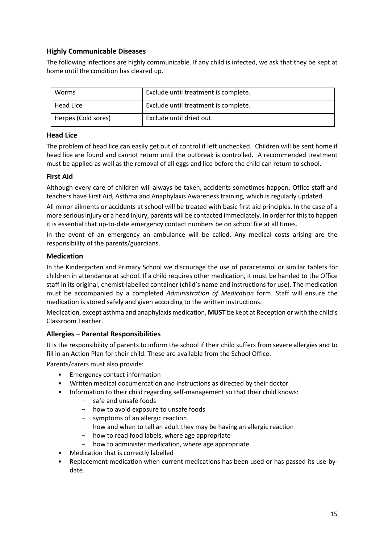# <span id="page-14-0"></span>**Highly Communicable Diseases**

The following infections are highly communicable. If any child is infected, we ask that they be kept at home until the condition has cleared up.

| Worms               | Exclude until treatment is complete. |
|---------------------|--------------------------------------|
| Head Lice           | Exclude until treatment is complete. |
| Herpes (Cold sores) | Exclude until dried out.             |

# <span id="page-14-1"></span>**Head Lice**

The problem of head lice can easily get out of control if left unchecked. Children will be sent home if head lice are found and cannot return until the outbreak is controlled. A recommended treatment must be applied as well as the removal of all eggs and lice before the child can return to school.

# <span id="page-14-2"></span>**First Aid**

Although every care of children will always be taken, accidents sometimes happen. Office staff and teachers have First Aid, Asthma and Anaphylaxis Awareness training, which is regularly updated.

All minor ailments or accidents at school will be treated with basic first aid principles. In the case of a more serious injury or a head injury, parents will be contacted immediately. In order for this to happen it is essential that up-to-date emergency contact numbers be on school file at all times.

In the event of an emergency an ambulance will be called. Any medical costs arising are the responsibility of the parents/guardians.

# <span id="page-14-3"></span>**Medication**

In the Kindergarten and Primary School we discourage the use of paracetamol or similar tablets for children in attendance at school. If a child requires other medication, it must be handed to the Office staff in its original, chemist-labelled container (child's name and instructions for use). The medication must be accompanied by a completed *Administration of Medication* form. Staff will ensure the medication is stored safely and given according to the written instructions.

Medication, except asthma and anaphylaxis medication, **MUST** be kept at Reception or with the child's Classroom Teacher.

# <span id="page-14-4"></span>**Allergies – Parental Responsibilities**

It is the responsibility of parents to inform the school if their child suffers from severe allergies and to fill in an Action Plan for their child. These are available from the School Office.

Parents/carers must also provide:

- Emergency contact information
- Written medical documentation and instructions as directed by their doctor
- Information to their child regarding self-management so that their child knows:
	- safe and unsafe foods
	- how to avoid exposure to unsafe foods
	- symptoms of an allergic reaction
	- how and when to tell an adult they may be having an allergic reaction
	- how to read food labels, where age appropriate
	- how to administer medication, where age appropriate
- Medication that is correctly labelled
- Replacement medication when current medications has been used or has passed its use-bydate.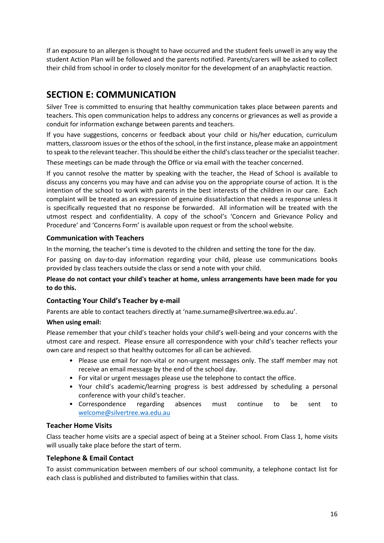If an exposure to an allergen is thought to have occurred and the student feels unwell in any way the student Action Plan will be followed and the parents notified. Parents/carers will be asked to collect their child from school in order to closely monitor for the development of an anaphylactic reaction.

# <span id="page-15-0"></span>**SECTION E: COMMUNICATION**

Silver Tree is committed to ensuring that healthy communication takes place between parents and teachers. This open communication helps to address any concerns or grievances as well as provide a conduit for information exchange between parents and teachers.

If you have suggestions, concerns or feedback about your child or his/her education, curriculum matters, classroom issues or the ethos of the school, in the first instance, please make an appointment to speak to the relevant teacher. This should be either the child's class teacher or the specialist teacher.

These meetings can be made through the Office or via email with the teacher concerned.

If you cannot resolve the matter by speaking with the teacher, the Head of School is available to discuss any concerns you may have and can advise you on the appropriate course of action. It is the intention of the school to work with parents in the best interests of the children in our care. Each complaint will be treated as an expression of genuine dissatisfaction that needs a response unless it is specifically requested that no response be forwarded. All information will be treated with the utmost respect and confidentiality. A copy of the school's 'Concern and Grievance Policy and Procedure' and 'Concerns Form' is available upon request or from the school website.

### <span id="page-15-1"></span>**Communication with Teachers**

In the morning, the teacher's time is devoted to the children and setting the tone for the day.

For passing on day-to-day information regarding your child, please use communications books provided by class teachers outside the class or send a note with your child.

### **Please do not contact your child's teacher at home, unless arrangements have been made for you to do this.**

### <span id="page-15-2"></span>**Contacting Your Child's Teacher by e-mail**

Parents are able to contact teachers directly at '[name.surname@silvertree.wa.edu.au](mailto:name.surname@silvertree.wa.edu.au)'.

### **When using email:**

Please remember that your child's teacher holds your child's well-being and your concerns with the utmost care and respect. Please ensure all correspondence with your child's teacher reflects your own care and respect so that healthy outcomes for all can be achieved.

- Please use email for non-vital or non-urgent messages only. The staff member may not receive an email message by the end of the school day.
- For vital or urgent messages please use the telephone to contact the office.
- Your child's academic/learning progress is best addressed by scheduling a personal conference with your child's teacher.
- Correspondence regarding absences must continue to be sent to [welcome@silvertree.wa.edu.au](mailto:welcome@silvertree.wa.edu.au)

### <span id="page-15-3"></span>**Teacher Home Visits**

Class teacher home visits are a special aspect of being at a Steiner school. From Class 1, home visits will usually take place before the start of term.

### <span id="page-15-4"></span>**Telephone & Email Contact**

To assist communication between members of our school community, a telephone contact list for each class is published and distributed to families within that class.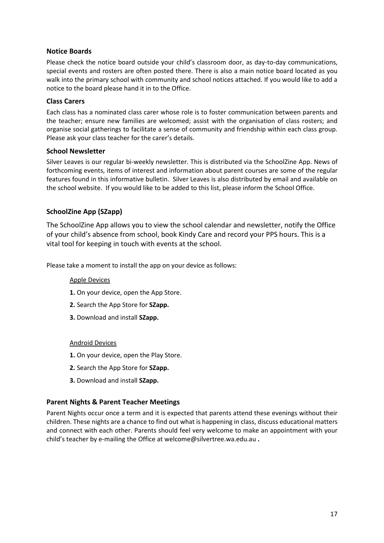### <span id="page-16-0"></span>**Notice Boards**

Please check the notice board outside your child's classroom door, as day-to-day communications, special events and rosters are often posted there. There is also a main notice board located as you walk into the primary school with community and school notices attached. If you would like to add a notice to the board please hand it in to the Office.

### <span id="page-16-1"></span>**Class Carers**

Each class has a nominated class carer whose role is to foster communication between parents and the teacher; ensure new families are welcomed; assist with the organisation of class rosters; and organise social gatherings to facilitate a sense of community and friendship within each class group. Please ask your class teacher for the carer's details.

# <span id="page-16-2"></span>**School Newsletter**

Silver Leaves is our regular bi-weekly newsletter. This is distributed via the SchoolZine App. News of forthcoming events, items of interest and information about parent courses are some of the regular features found in this informative bulletin. Silver Leaves is also distributed by email and available on the school website. If you would like to be added to this list, please inform the School Office.

# **SchoolZine App (SZapp)**

The SchoolZine App allows you to view the school calendar and newsletter, notify the Office of your child's absence from school, book Kindy Care and record your PPS hours. This is a vital tool for keeping in touch with events at the school.

Please take a moment to install the app on your device as follows:

### Apple Devices

- **1.** On your device, open the App Store.
- **2.** Search the App Store for **SZapp.**
- **3.** Download and install **SZapp.**

### Android Devices

- **1.** On your device, open the Play Store.
- **2.** Search the App Store for **SZapp.**
- **3.** Download and install **SZapp.**

### <span id="page-16-3"></span>**Parent Nights & Parent Teacher Meetings**

Parent Nights occur once a term and it is expected that parents attend these evenings without their children. These nights are a chance to find out what is happening in class, discuss educational matters and connect with each other. Parents should feel very welcome to make an appointment with your child's teacher by e-mailing the Office a[t welcome@silvertree.wa.edu.au](mailto:welcome@silvertree.wa.edu.au) **.**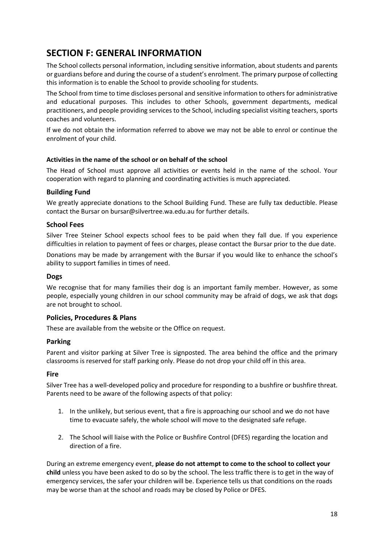# <span id="page-17-0"></span>**SECTION F: GENERAL INFORMATION**

The School collects personal information, including sensitive information, about students and parents or guardians before and during the course of a student's enrolment. The primary purpose of collecting this information is to enable the School to provide schooling for students.

The School from time to time discloses personal and sensitive information to others for administrative and educational purposes. This includes to other Schools, government departments, medical practitioners, and people providing services to the School, including specialist visiting teachers, sports coaches and volunteers.

If we do not obtain the information referred to above we may not be able to enrol or continue the enrolment of your child.

### **Activities in the name of the school or on behalf of the school**

The Head of School must approve all activities or events held in the name of the school. Your cooperation with regard to planning and coordinating activities is much appreciated.

### <span id="page-17-1"></span>**Building Fund**

We greatly appreciate donations to the School Building Fund. These are fully tax deductible. Please contact the Bursar on [bursar@silvertree.wa.edu.au](mailto:bursar@silvertree.wa.edu.au) for further details.

### <span id="page-17-2"></span>**School Fees**

Silver Tree Steiner School expects school fees to be paid when they fall due. If you experience difficulties in relation to payment of fees or charges, please contact the Bursar prior to the due date.

Donations may be made by arrangement with the Bursar if you would like to enhance the school's ability to support families in times of need.

### <span id="page-17-3"></span>**Dogs**

We recognise that for many families their dog is an important family member. However, as some people, especially young children in our school community may be afraid of dogs, we ask that dogs are not brought to school.

### **Policies, Procedures & Plans**

These are available from the website or the Office on request.

### <span id="page-17-4"></span>**Parking**

Parent and visitor parking at Silver Tree is signposted. The area behind the office and the primary classrooms is reserved for staff parking only. Please do not drop your child off in this area.

### <span id="page-17-5"></span>**Fire**

Silver Tree has a well-developed policy and procedure for responding to a bushfire or bushfire threat. Parents need to be aware of the following aspects of that policy:

- 1. In the unlikely, but serious event, that a fire is approaching our school and we do not have time to evacuate safely, the whole school will move to the designated safe refuge.
- 2. The School will liaise with the Police or Bushfire Control (DFES) regarding the location and direction of a fire.

During an extreme emergency event, **please do not attempt to come to the school to collect your child** unless you have been asked to do so by the school. The less traffic there is to get in the way of emergency services, the safer your children will be. Experience tells us that conditions on the roads may be worse than at the school and roads may be closed by Police or DFES.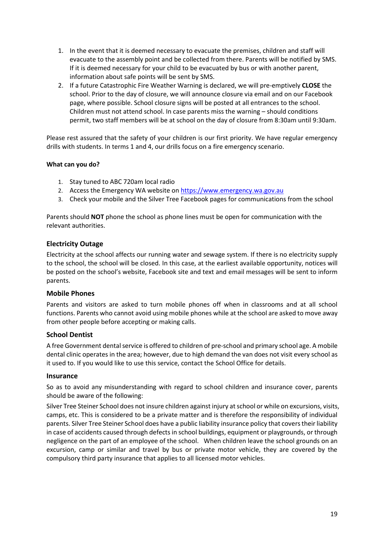- 1. In the event that it is deemed necessary to evacuate the premises, children and staff will evacuate to the assembly point and be collected from there. Parents will be notified by SMS. If it is deemed necessary for your child to be evacuated by bus or with another parent, information about safe points will be sent by SMS.
- 2. If a future Catastrophic Fire Weather Warning is declared, we will pre-emptively **CLOSE** the school. Prior to the day of closure, we will announce closure via email and on our Facebook page, where possible. School closure signs will be posted at all entrances to the school. Children must not attend school. In case parents miss the warning – should conditions permit, two staff members will be at school on the day of closure from 8:30am until 9:30am.

Please rest assured that the safety of your children is our first priority. We have regular emergency drills with students. In terms 1 and 4, our drills focus on a fire emergency scenario.

### **What can you do?**

- 1. Stay tuned to ABC 720am local radio
- 2. Access the Emergency WA website on [https://www.emergency.wa.gov.au](https://www.emergency.wa.gov.au/)
- 3. Check your mobile and the Silver Tree Facebook pages for communications from the school

Parents should **NOT** phone the school as phone lines must be open for communication with the relevant authorities.

### <span id="page-18-0"></span>**Electricity Outage**

Electricity at the school affects our running water and sewage system. If there is no electricity supply to the school, the school will be closed. In this case, at the earliest available opportunity, notices will be posted on the school's website, Facebook site and text and email messages will be sent to inform parents.

### <span id="page-18-1"></span>**Mobile Phones**

Parents and visitors are asked to turn mobile phones off when in classrooms and at all school functions. Parents who cannot avoid using mobile phones while at the school are asked to move away from other people before accepting or making calls.

### <span id="page-18-2"></span>**School Dentist**

A free Government dental service is offered to children of pre-school and primary school age. A mobile dental clinic operates in the area; however, due to high demand the van does not visit every school as it used to. If you would like to use this service, contact the School Office for details.

### <span id="page-18-3"></span>**Insurance**

So as to avoid any misunderstanding with regard to school children and insurance cover, parents should be aware of the following:

Silver Tree Steiner School does not insure children against injury at school or while on excursions, visits, camps, etc. This is considered to be a private matter and is therefore the responsibility of individual parents. Silver Tree Steiner School does have a public liability insurance policy that covers their liability in case of accidents caused through defects in school buildings, equipment or playgrounds, or through negligence on the part of an employee of the school. When children leave the school grounds on an excursion, camp or similar and travel by bus or private motor vehicle, they are covered by the compulsory third party insurance that applies to all licensed motor vehicles.